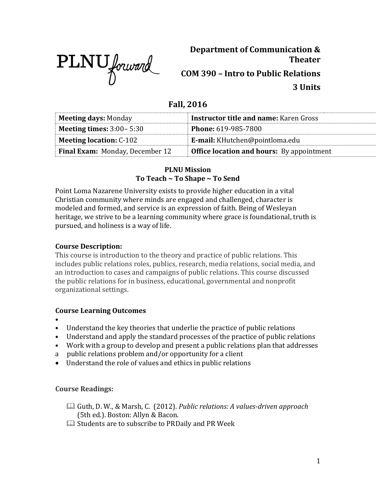

**Department of Communication & Theater COM 390 – Intro to Public Relations 3 Units**

# **Fall, 2016**

| <b>Meeting days: Monday</b>            | <b>Instructor title and name: Karen Gross</b>    |  |
|----------------------------------------|--------------------------------------------------|--|
| <b>Meeting times:</b> $3:00-5:30$      | <b>Phone: 619-985-7800</b>                       |  |
| <b>Meeting location: C-102</b>         | <b>E-mail:</b> KHutchen@pointloma.edu            |  |
| <b>Final Exam:</b> Monday, December 12 | <b>Office location and hours:</b> By appointment |  |

#### **PLNU Mission To Teach ~ To Shape ~ To Send**

Point Loma Nazarene University exists to provide higher education in a vital Christian community where minds are engaged and challenged, character is modeled and formed, and service is an expression of faith. Being of Wesleyan heritage, we strive to be a learning community where grace is foundational, truth is pursued, and holiness is a way of life.

# **Course Description:**

This course is introduction to the theory and practice of public relations. This includes public relations roles, publics, research, media relations, social media, and an introduction to cases and campaigns of public relations. This course discussed the public relations for in business, educational, governmental and nonprofit organizational settings.

# **Course Learning Outcomes**

- •
- Understand the key theories that underlie the practice of public relations
- Understand and apply the standard processes of the practice of public relations
- Work with a group to develop and present a public relations plan that addresses
- a public relations problem and/or opportunity for a client
- Understand the role of values and ethics in public relations

# **Course Readings:**

- Guth, D. W., & Marsh, C. (2012). *Public relations: A values-driven approach*  (5th ed.). Boston: Allyn & Bacon.
- $\Box$  Students are to subscribe to PRDaily and PR Week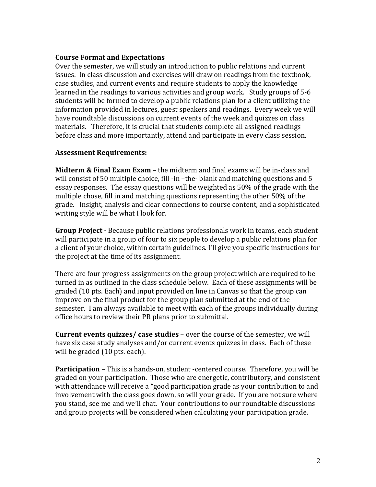#### **Course Format and Expectations**

Over the semester, we will study an introduction to public relations and current issues. In class discussion and exercises will draw on readings from the textbook, case studies, and current events and require students to apply the knowledge learned in the readings to various activities and group work. Study groups of 5-6 students will be formed to develop a public relations plan for a client utilizing the information provided in lectures, guest speakers and readings. Every week we will have roundtable discussions on current events of the week and quizzes on class materials. Therefore, it is crucial that students complete all assigned readings before class and more importantly, attend and participate in every class session.

#### **Assessment Requirements:**

**Midterm & Final Exam Exam** – the midterm and final exams will be in-class and will consist of 50 multiple choice, fill -in –the- blank and matching questions and 5 essay responses. The essay questions will be weighted as 50% of the grade with the multiple chose, fill in and matching questions representing the other 50% of the grade. Insight, analysis and clear connections to course content, and a sophisticated writing style will be what I look for.

**Group Project -** Because public relations professionals work in teams, each student will participate in a group of four to six people to develop a public relations plan for a client of your choice, within certain guidelines. I'll give you specific instructions for the project at the time of its assignment.

There are four progress assignments on the group project which are required to be turned in as outlined in the class schedule below. Each of these assignments will be graded (10 pts. Each) and input provided on line in Canvas so that the group can improve on the final product for the group plan submitted at the end of the semester. I am always available to meet with each of the groups individually during office hours to review their PR plans prior to submittal.

**Current events quizzes/ case studies** – over the course of the semester, we will have six case study analyses and/or current events quizzes in class. Each of these will be graded (10 pts. each).

**Participation** – This is a hands-on, student -centered course. Therefore, you will be graded on your participation. Those who are energetic, contributory, and consistent with attendance will receive a "good participation grade as your contribution to and involvement with the class goes down, so will your grade. If you are not sure where you stand, see me and we'll chat. Your contributions to our roundtable discussions and group projects will be considered when calculating your participation grade.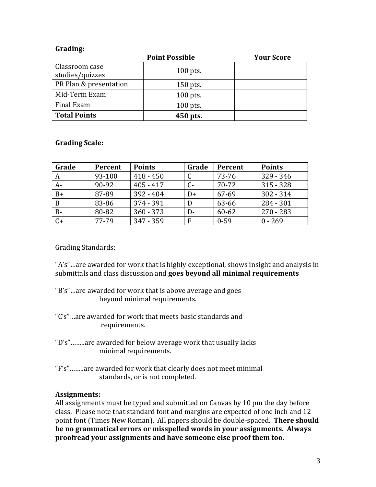#### **Grading:**

|                        | <b>Point Possible</b> | <b>Your Score</b> |
|------------------------|-----------------------|-------------------|
| Classroom case         | $100$ pts.            |                   |
| studies/quizzes        |                       |                   |
| PR Plan & presentation | $150$ pts.            |                   |
| Mid-Term Exam          | $100$ pts.            |                   |
| Final Exam             | $100$ pts.            |                   |
| <b>Total Points</b>    | 450 pts.              |                   |

#### **Grading Scale:**

| Grade | Percent | <b>Points</b> | Grade | Percent  | <b>Points</b> |
|-------|---------|---------------|-------|----------|---------------|
|       | 93-100  | $418 - 450$   |       | 73-76    | $329 - 346$   |
| $A-$  | 90-92   | $405 - 417$   | С-    | 70-72    | $315 - 328$   |
| $B+$  | 87-89   | $392 - 404$   | $D+$  | 67-69    | $302 - 314$   |
| B     | 83-86   | $374 - 391$   | D     | 63-66    | 284 - 301     |
| $B -$ | 80-82   | $360 - 373$   | $D-$  | 60-62    | $270 - 283$   |
| $C+$  | 77-79   | $347 - 359$   | F     | $0 - 59$ | $0 - 269$     |

Grading Standards:

"A's"…are awarded for work that is highly exceptional, shows insight and analysis in submittals and class discussion and **goes beyond all minimal requirements** 

- "B's"…are awarded for work that is above average and goes beyond minimal requirements.
- "C's"…are awarded for work that meets basic standards and requirements.
- "D's"……..are awarded for below average work that usually lacks minimal requirements.
- "F's"……..are awarded for work that clearly does not meet minimal standards, or is not completed.

# **Assignments:**

All assignments must be typed and submitted on Canvas by 10 pm the day before class. Please note that standard font and margins are expected of one inch and 12 point font (Times New Roman). All papers should be double-spaced. **There should be no grammatical errors or misspelled words in your assignments. Always proofread your assignments and have someone else proof them too.**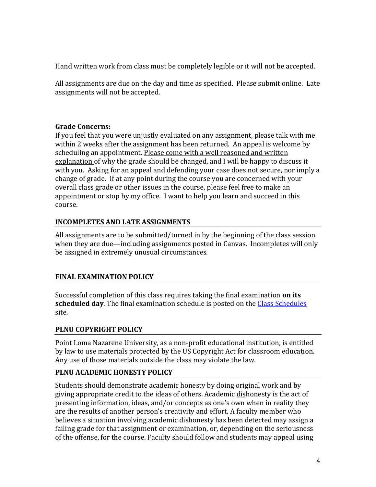Hand written work from class must be completely legible or it will not be accepted.

All assignments are due on the day and time as specified. Please submit online. Late assignments will not be accepted.

# **Grade Concerns:**

If you feel that you were unjustly evaluated on any assignment, please talk with me within 2 weeks after the assignment has been returned. An appeal is welcome by scheduling an appointment. Please come with a well reasoned and written explanation of why the grade should be changed, and I will be happy to discuss it with you. Asking for an appeal and defending your case does not secure, nor imply a change of grade. If at any point during the course you are concerned with your overall class grade or other issues in the course, please feel free to make an appointment or stop by my office. I want to help you learn and succeed in this course.

# **INCOMPLETES AND LATE ASSIGNMENTS**

All assignments are to be submitted/turned in by the beginning of the class session when they are due—including assignments posted in Canvas. Incompletes will only be assigned in extremely unusual circumstances.

# **FINAL EXAMINATION POLICY**

Successful completion of this class requires taking the final examination **on its scheduled day**. The final examination schedule is posted on th[e Class Schedules](http://www.pointloma.edu/experience/academics/class-schedules) site.

# **PLNU COPYRIGHT POLICY**

Point Loma Nazarene University, as a non-profit educational institution, is entitled by law to use materials protected by the US Copyright Act for classroom education. Any use of those materials outside the class may violate the law.

# **PLNU ACADEMIC HONESTY POLICY**

Students should demonstrate academic honesty by doing original work and by giving appropriate credit to the ideas of others. Academic dishonesty is the act of presenting information, ideas, and/or concepts as one's own when in reality they are the results of another person's creativity and effort. A faculty member who believes a situation involving academic dishonesty has been detected may assign a failing grade for that assignment or examination, or, depending on the seriousness of the offense, for the course. Faculty should follow and students may appeal using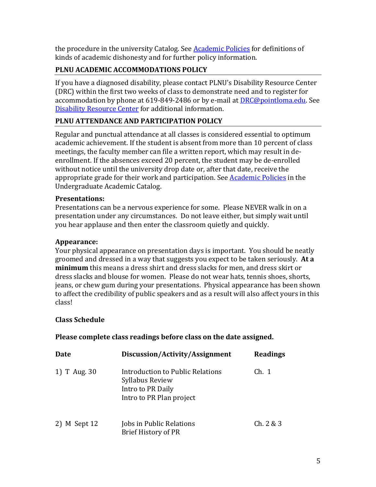the procedure in the university Catalog. See **Academic Policies** for definitions of kinds of academic dishonesty and for further policy information.

# **PLNU ACADEMIC ACCOMMODATIONS POLICY**

If you have a diagnosed disability, please contact PLNU's Disability Resource Center (DRC) within the first two weeks of class to demonstrate need and to register for accommodation by phone at 619-849-2486 or by e-mail at **DRC@pointloma.edu.** See [Disability Resource Center](http://www.pointloma.edu/experience/offices/administrative-offices/academic-advising-office/disability-resource-center) for additional information.

# **PLNU ATTENDANCE AND PARTICIPATION POLICY**

Regular and punctual attendance at all classes is considered essential to optimum academic achievement. If the student is absent from more than 10 percent of class meetings, the faculty member can file a written report, which may result in deenrollment. If the absences exceed 20 percent, the student may be de-enrolled without notice until the university drop date or, after that date, receive the appropriate grade for their work and participation. See **Academic Policies** in the Undergraduate Academic Catalog.

#### **Presentations:**

Presentations can be a nervous experience for some. Please NEVER walk in on a presentation under any circumstances. Do not leave either, but simply wait until you hear applause and then enter the classroom quietly and quickly.

#### **Appearance:**

Your physical appearance on presentation days is important. You should be neatly groomed and dressed in a way that suggests you expect to be taken seriously. **At a minimum** this means a dress shirt and dress slacks for men, and dress skirt or dress slacks and blouse for women. Please do not wear hats, tennis shoes, shorts, jeans, or chew gum during your presentations. Physical appearance has been shown to affect the credibility of public speakers and as a result will also affect yours in this class!

# **Class Schedule**

# **Please complete class readings before class on the date assigned.**

| Date         | Discussion/Activity/Assignment                                                                       | <b>Readings</b> |
|--------------|------------------------------------------------------------------------------------------------------|-----------------|
| 1) T Aug. 30 | Introduction to Public Relations<br>Syllabus Review<br>Intro to PR Daily<br>Intro to PR Plan project | Ch. 1           |
| 2) M Sept 12 | Jobs in Public Relations<br><b>Brief History of PR</b>                                               | Ch. 2 & 3       |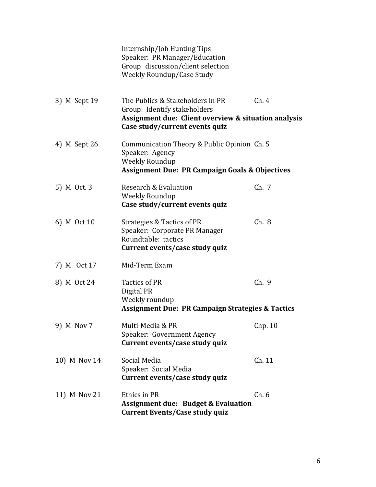|              | Internship/Job Hunting Tips<br>Speaker: PR Manager/Education<br>Group discussion/client selection<br><b>Weekly Roundup/Case Study</b>                      |         |
|--------------|------------------------------------------------------------------------------------------------------------------------------------------------------------|---------|
| 3) M Sept 19 | The Publics & Stakeholders in PR<br>Group: Identify stakeholders<br>Assignment due: Client overview & situation analysis<br>Case study/current events quiz | Ch.4    |
| 4) M Sept 26 | Communication Theory & Public Opinion Ch. 5<br>Speaker: Agency<br><b>Weekly Roundup</b><br><b>Assignment Due: PR Campaign Goals &amp; Objectives</b>       |         |
| 5) M Oct. 3  | Research & Evaluation<br><b>Weekly Roundup</b><br>Case study/current events quiz                                                                           | Ch. 7   |
| 6) M Oct 10  | Strategies & Tactics of PR<br>Speaker: Corporate PR Manager<br>Roundtable: tactics<br>Current events/case study quiz                                       | Ch.8    |
| 7) M Oct 17  | Mid-Term Exam                                                                                                                                              |         |
| 8) M Oct 24  | Tactics of PR<br>Digital PR<br>Weekly roundup<br><b>Assignment Due: PR Campaign Strategies &amp; Tactics</b>                                               | Ch.9    |
| 9) M Nov 7   | Multi-Media & PR<br>Speaker: Government Agency<br>Current events/case study quiz                                                                           | Chp. 10 |
| 10) M Nov 14 | Social Media<br>Speaker: Social Media<br>Current events/case study quiz                                                                                    | Ch. 11  |
| 11) M Nov 21 | Ethics in PR<br><b>Assignment due: Budget &amp; Evaluation</b><br><b>Current Events/Case study quiz</b>                                                    | Ch.6    |